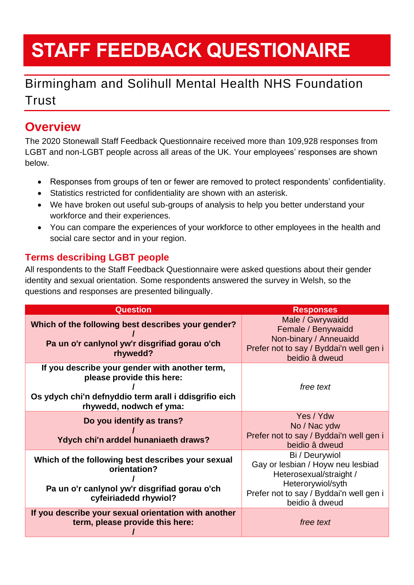# **STAFF FEEDBACK QUESTIONAIRE**

# Birmingham and Solihull Mental Health NHS Foundation **Trust**

## **Overview**

The 2020 Stonewall Staff Feedback Questionnaire received more than 109,928 responses from LGBT and non-LGBT people across all areas of the UK. Your employees' responses are shown below.

- Responses from groups of ten or fewer are removed to protect respondents' confidentiality.
- Statistics restricted for confidentiality are shown with an asterisk.
- We have broken out useful sub-groups of analysis to help you better understand your workforce and their experiences.
- You can compare the experiences of your workforce to other employees in the health and social care sector and in your region.

### **Terms describing LGBT people**

All respondents to the Staff Feedback Questionnaire were asked questions about their gender identity and sexual orientation. Some respondents answered the survey in Welsh, so the questions and responses are presented bilingually.

| <b>Question</b>                                                                                                                                                 | <b>Responses</b>                                                                                                                                                 |
|-----------------------------------------------------------------------------------------------------------------------------------------------------------------|------------------------------------------------------------------------------------------------------------------------------------------------------------------|
| Which of the following best describes your gender?<br>Pa un o'r canlynol yw'r disgrifiad gorau o'ch<br>rhywedd?                                                 | Male / Gwrywaidd<br>Female / Benywaidd<br>Non-binary / Anneuaidd<br>Prefer not to say / Byddai'n well gen i<br>beidio â dweud                                    |
| If you describe your gender with another term,<br>please provide this here:<br>Os ydych chi'n defnyddio term arall i ddisgrifio eich<br>rhywedd, nodwch ef yma: | free text                                                                                                                                                        |
| Do you identify as trans?<br>Ydych chi'n arddel hunaniaeth draws?                                                                                               | Yes / Ydw<br>No / Nac ydw<br>Prefer not to say / Byddai'n well gen i<br>beidio â dweud                                                                           |
| Which of the following best describes your sexual<br>orientation?<br>Pa un o'r canlynol yw'r disgrifiad gorau o'ch<br>cyfeiriadedd rhywiol?                     | Bi / Deurywiol<br>Gay or lesbian / Hoyw neu lesbiad<br>Heterosexual/straight /<br>Heterorywiol/syth<br>Prefer not to say / Byddai'n well gen i<br>beidio â dweud |
| If you describe your sexual orientation with another<br>term, please provide this here:                                                                         | free text                                                                                                                                                        |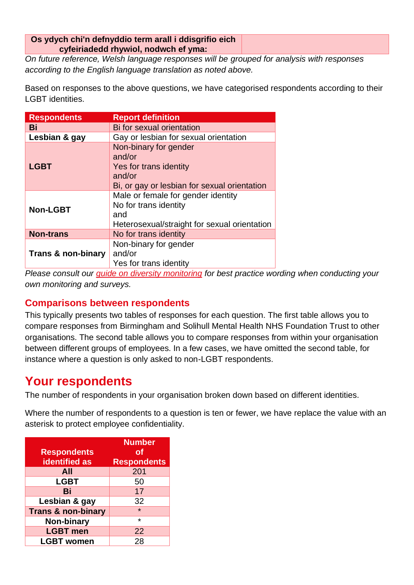#### **Os ydych chi'n defnyddio term arall i ddisgrifio eich cyfeiriadedd rhywiol, nodwch ef yma:**

*On future reference, Welsh language responses will be grouped for analysis with responses according to the English language translation as noted above.*

Based on responses to the above questions, we have categorised respondents according to their LGBT identities.

| <b>Respondents</b>            | <b>Report definition</b>                                                                                            |
|-------------------------------|---------------------------------------------------------------------------------------------------------------------|
| Bi                            | Bi for sexual orientation                                                                                           |
| Lesbian & gay                 | Gay or lesbian for sexual orientation                                                                               |
| <b>LGBT</b>                   | Non-binary for gender<br>and/or<br>Yes for trans identity<br>and/or<br>Bi, or gay or lesbian for sexual orientation |
| <b>Non-LGBT</b>               | Male or female for gender identity<br>No for trans identity<br>and<br>Heterosexual/straight for sexual orientation  |
| <b>Non-trans</b>              | No for trans identity                                                                                               |
| <b>Trans &amp; non-binary</b> | Non-binary for gender<br>and/or<br>Yes for trans identity                                                           |

*Please consult our [guide on diversity monitoring](https://www.stonewall.org.uk/resources/understanding-lgbt-experiences-guide-equalities-monitoring-uk) for best practice wording when conducting your own monitoring and surveys.*

#### **Comparisons between respondents**

This typically presents two tables of responses for each question. The first table allows you to compare responses from Birmingham and Solihull Mental Health NHS Foundation Trust to other organisations. The second table allows you to compare responses from within your organisation between different groups of employees. In a few cases, we have omitted the second table, for instance where a question is only asked to non-LGBT respondents.

### **Your respondents**

The number of respondents in your organisation broken down based on different identities.

Where the number of respondents to a question is ten or fewer, we have replace the value with an asterisk to protect employee confidentiality.

| <b>Respondents</b><br><b>identified as</b> | <b>Number</b><br><b>of</b><br><b>Respondents</b> |
|--------------------------------------------|--------------------------------------------------|
| All                                        | 201                                              |
| <b>LGBT</b>                                | 50                                               |
| Bi                                         | 17                                               |
| Lesbian & gay                              | 32                                               |
| <b>Trans &amp; non-binary</b>              | $\star$                                          |
| <b>Non-binary</b>                          | $\star$                                          |
| <b>LGBT</b> men                            | 22                                               |
| <b>LGBT women</b>                          | 28                                               |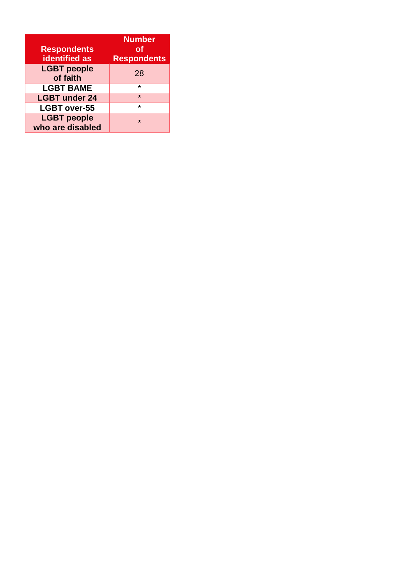| <b>Respondents</b><br><b>identified</b> as | <b>Number</b><br>Οf<br><b>Respondents</b> |
|--------------------------------------------|-------------------------------------------|
| <b>LGBT</b> people<br>of faith             | 28                                        |
| <b>LGBT BAME</b>                           | $\star$                                   |
| <b>LGBT under 24</b>                       | $\star$                                   |
| <b>LGBT over-55</b>                        | $\star$                                   |
| <b>LGBT</b> people<br>who are disabled     | $\star$                                   |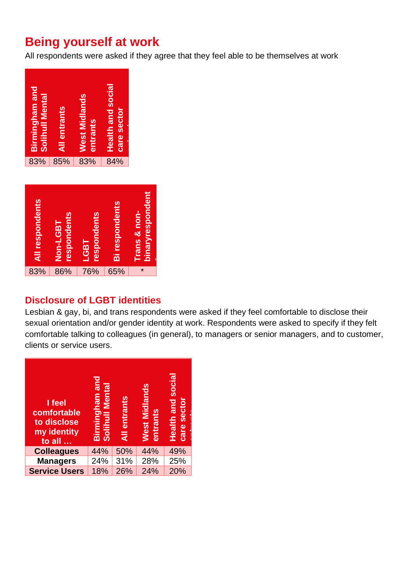### **Being yourself at work**

All respondents were asked if they agree that they feel able to be themselves at work



| All respondents | <b>respondents</b><br>Non-LGBT | respondents<br><b>LGBT</b> | <b>Bi respondents</b> | binaryrespondent<br><b>Trans &amp; non-</b> |
|-----------------|--------------------------------|----------------------------|-----------------------|---------------------------------------------|
| 83%             | 86%                            | 76%                        | 65%                   | $\star$                                     |

#### **Disclosure of LGBT identities**

Lesbian & gay, bi, and trans respondents were asked if they feel comfortable to disclose their sexual orientation and/or gender identity at work. Respondents were asked to specify if they felt comfortable talking to colleagues (in general), to managers or senior managers, and to customer, clients or service users.

| I feel<br>comfortable<br>to disclose<br>my identity<br>to all | Birmingham and<br>Solihull Mental | <b>All entrants</b> | <b>West Midlands</b><br>entrants | <b>Health and social</b><br>care sector |
|---------------------------------------------------------------|-----------------------------------|---------------------|----------------------------------|-----------------------------------------|
| <b>Colleagues</b>                                             | 44%                               | 50%                 | 44%                              | 49%                                     |
| <b>Managers</b>                                               | 24%                               | 31%                 | 28%                              | 25%                                     |
| <b>Service Users</b>                                          | 18%                               | 26%                 | 24%                              | 20%                                     |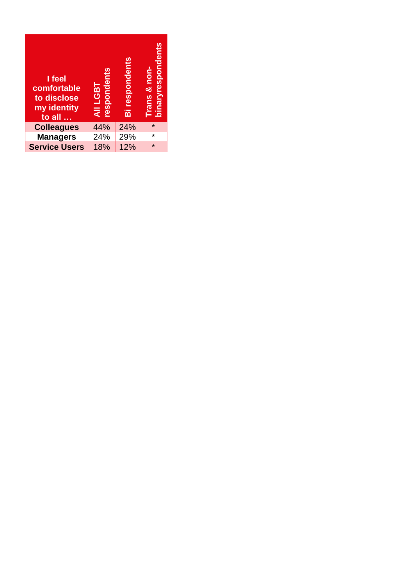| I feel<br>comfortable<br>to disclose<br>my identity<br>to all | respondents<br><b>TBJT IIV</b> | Bi respondents | <b>binaryrespondents</b><br>rans & non- |
|---------------------------------------------------------------|--------------------------------|----------------|-----------------------------------------|
| <b>Colleagues</b>                                             | 44%                            | 24%            | $\star$                                 |
|                                                               |                                |                | *                                       |
| <b>Managers</b>                                               | 24%                            | 29%            |                                         |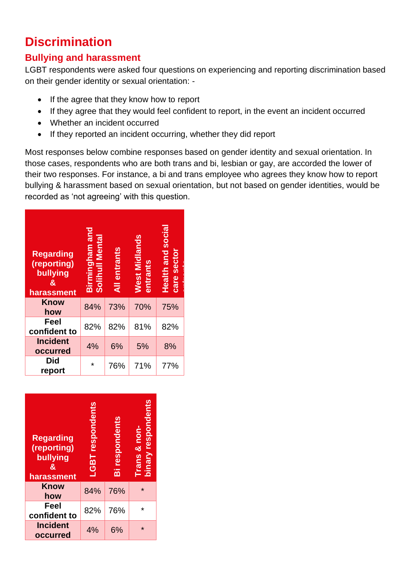# **Discrimination**

#### **Bullying and harassment**

LGBT respondents were asked four questions on experiencing and reporting discrimination based on their gender identity or sexual orientation: -

- If the agree that they know how to report
- If they agree that they would feel confident to report, in the event an incident occurred
- Whether an incident occurred
- If they reported an incident occurring, whether they did report

Most responses below combine responses based on gender identity and sexual orientation. In those cases, respondents who are both trans and bi, lesbian or gay, are accorded the lower of their two responses. For instance, a bi and trans employee who agrees they know how to report bullying & harassment based on sexual orientation, but not based on gender identities, would be recorded as 'not agreeing' with this question.

| <b>Regarding</b><br>(reporting)<br>bullying<br>&<br>harassment | Birmingham and<br><b>Solihull Mental</b> | <b>All entrants</b> | West Midlands<br>entrants | Health and social<br>care sector |
|----------------------------------------------------------------|------------------------------------------|---------------------|---------------------------|----------------------------------|
| Know<br>how                                                    | 84%                                      | 73%                 | 70%                       | 75%                              |
| Feel<br>confident to                                           | 82%                                      | 82%                 | 81%                       | 82%                              |
| <b>Incident</b><br>occurred                                    | 4%                                       | 6%                  | 5%                        | 8%                               |
| <b>Did</b><br>report                                           | $\star$                                  | 76%                 | 71%                       | 77%                              |

| <b>Regarding</b><br>(reporting)<br>bullying<br>&<br>harassment | -GBT respondents | Bi respondents | binary respondent:<br><b>Trans &amp; non-</b> |
|----------------------------------------------------------------|------------------|----------------|-----------------------------------------------|
| Know<br>how                                                    | 84%              | 76%            | $\star$                                       |
| Feel<br>confident to                                           | 82%              | 76%            | ÷                                             |
| <b>Incident</b><br>occurred                                    | 4%               | 6%             | $\star$                                       |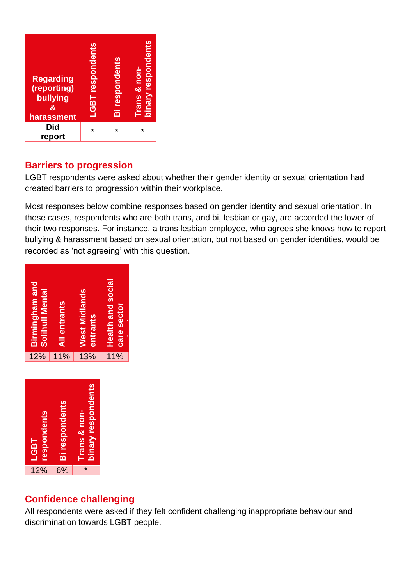

#### **Barriers to progression**

LGBT respondents were asked about whether their gender identity or sexual orientation had created barriers to progression within their workplace.

Most responses below combine responses based on gender identity and sexual orientation. In those cases, respondents who are both trans, and bi, lesbian or gay, are accorded the lower of their two responses. For instance, a trans lesbian employee, who agrees she knows how to report bullying & harassment based on sexual orientation, but not based on gender identities, would be recorded as 'not agreeing' with this question.

| <b>Birmingham and</b><br>Solihull Mental | <b>All entrants</b> | West Midlands<br>entrants | <b>Health and social</b><br>care sector |  |
|------------------------------------------|---------------------|---------------------------|-----------------------------------------|--|
| 12%                                      | 11%                 | 13%                       | 11%                                     |  |
|                                          |                     |                           |                                         |  |



### **Confidence challenging**

All respondents were asked if they felt confident challenging inappropriate behaviour and discrimination towards LGBT people.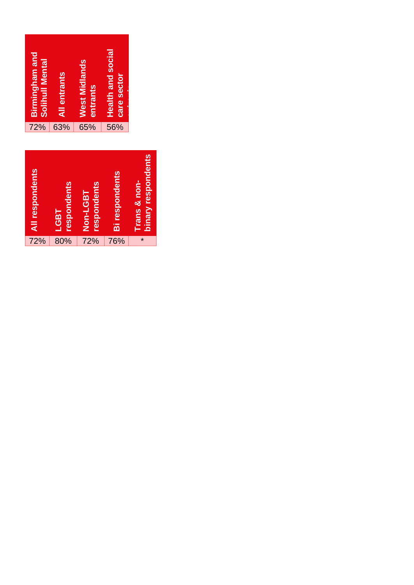

| All respondents | respondents<br><b>LGBT</b> | respondents<br>Non-LGBT | <b>Bi respondents</b> | binary respondents<br>Trans & non- |
|-----------------|----------------------------|-------------------------|-----------------------|------------------------------------|
| 72%             | 80%                        | 72%                     | 76%                   | $\star$                            |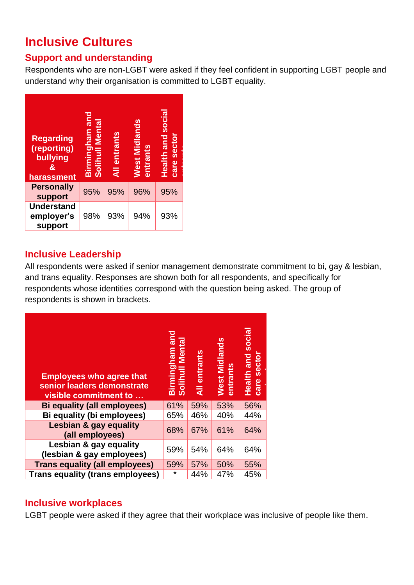# **Inclusive Cultures**

### **Support and understanding**

Respondents who are non-LGBT were asked if they feel confident in supporting LGBT people and understand why their organisation is committed to LGBT equality.

| <b>Regarding</b><br>(reporting)<br>bullying<br>&<br><b>harassment</b> | Birmingham and<br><b>Solihull Mental</b> | entrants<br>$\overline{a}$ | West Midlands<br>entrants | <b>Health and social</b><br>care sector |
|-----------------------------------------------------------------------|------------------------------------------|----------------------------|---------------------------|-----------------------------------------|
| <b>Personally</b><br>support                                          | 95%                                      | 95%                        | 96%                       | 95%                                     |
| <b>Understand</b><br>employer's                                       | 98%                                      | 93%                        | 94%                       | 93%                                     |

### **Inclusive Leadership**

All respondents were asked if senior management demonstrate commitment to bi, gay & lesbian, and trans equality. Responses are shown both for all respondents, and specifically for respondents whose identities correspond with the question being asked. The group of respondents is shown in brackets.

| <b>Employees who agree that</b><br>senior leaders demonstrate<br>visible commitment to | Birmingham and<br><b>Mental</b><br><b>Solihull</b> | All entrants | <b>West Midlands</b><br>entrants | <b>Health and social</b><br>care sector |
|----------------------------------------------------------------------------------------|----------------------------------------------------|--------------|----------------------------------|-----------------------------------------|
| Bi equality (all employees)                                                            | 61%                                                | 59%          | 53%                              | 56%                                     |
| Bi equality (bi employees)                                                             | 65%                                                | 46%          | 40%                              | 44%                                     |
| Lesbian & gay equality<br>(all employees)                                              | 68%                                                | 67%          | 61%                              | 64%                                     |
| Lesbian & gay equality<br>(lesbian & gay employees)                                    | 59%                                                | 54%          | 64%                              | 64%                                     |
| <b>Trans equality (all employees)</b>                                                  | 59%                                                | 57%          | 50%                              | 55%                                     |
| <b>Trans equality (trans employees)</b>                                                | $\star$                                            | 44%          | 47%                              | 45%                                     |

#### **Inclusive workplaces**

LGBT people were asked if they agree that their workplace was inclusive of people like them.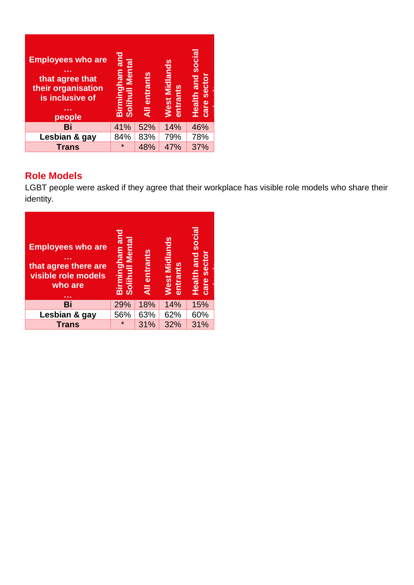| <b>Employees who are</b><br>that agree that<br>their organisation<br>is inclusive of<br>.<br>people | Birmingham and<br>Solihull Mental | entrants<br>₹ | <b>West Midlands</b><br>entrants | <b>Health and social</b><br>care sector |
|-----------------------------------------------------------------------------------------------------|-----------------------------------|---------------|----------------------------------|-----------------------------------------|
| Bi                                                                                                  | 41%                               | 52%           | 14%                              | 46%                                     |
| Lesbian & gay                                                                                       | 84%                               | 83%           | 79%                              | 78%                                     |
| <b>Trans</b>                                                                                        | $\star$                           | 48%           | 47%                              | 37%                                     |

### **Role Models**

LGBT people were asked if they agree that their workplace has visible role models who share their identity.

**entrants**

| <b>Employees who are</b><br>that agree there are<br>visible role models<br>who are | Birmingham and<br><b>Solihuli Mental</b> | All entrants | West Midlands<br>entrants | <b>Health and social</b><br>care sector |
|------------------------------------------------------------------------------------|------------------------------------------|--------------|---------------------------|-----------------------------------------|
| Bi                                                                                 | 29%                                      | 18%          | 14%                       | 15%                                     |
| Lesbian & gay                                                                      | 56%                                      | 63%          | 62%                       | 60%                                     |
|                                                                                    |                                          |              |                           |                                         |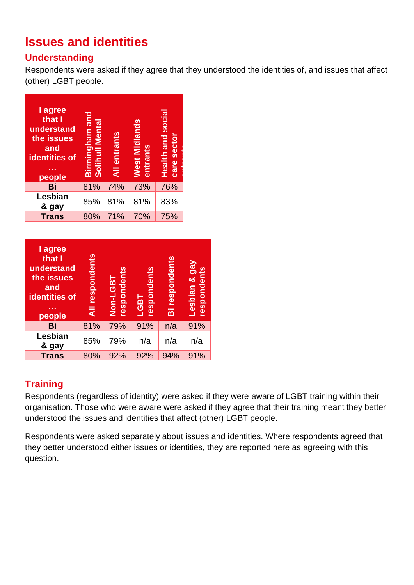# **Issues and identities**

### **Understanding**

Respondents were asked if they agree that they understood the identities of, and issues that affect (other) LGBT people.

| I agree<br>that I<br>understand<br>the issues<br>and<br>identities of<br>people | Birmingham and<br>Solihull Mental | All entrants | West Midlands<br>entrants | <b>Health and social</b><br>care sector |
|---------------------------------------------------------------------------------|-----------------------------------|--------------|---------------------------|-----------------------------------------|
| Bi                                                                              | 81%                               | 74%          | 73%                       | 76%                                     |
| Lesbian<br>& gay                                                                | 85%                               | 81%          | 81%                       | 83%                                     |
| <b>Trans</b>                                                                    | 80%                               | 71%          | 70%                       | 75%                                     |

| I agree<br>that I<br>understand<br>the issues<br>and<br>identities of<br>people | respondents<br>$\overline{a}$ | respondent<br>Non-LGBT | respondents<br><b>LGBT</b> | Bi respondents | Lesbian & gay<br>respondents |
|---------------------------------------------------------------------------------|-------------------------------|------------------------|----------------------------|----------------|------------------------------|
| Bi                                                                              | 81%                           | 79%                    | 91%                        | n/a            | 91%                          |
| Lesbian<br>& gay                                                                | 85%                           | 79%                    | n/a                        | n/a            | n/a                          |
| <b>Trans</b>                                                                    | 80%                           | 92%                    | 92%                        | 94%            | 91%                          |

### **Training**

Respondents (regardless of identity) were asked if they were aware of LGBT training within their organisation. Those who were aware were asked if they agree that their training meant they better understood the issues and identities that affect (other) LGBT people.

Respondents were asked separately about issues and identities. Where respondents agreed that they better understood either issues or identities, they are reported here as agreeing with this question.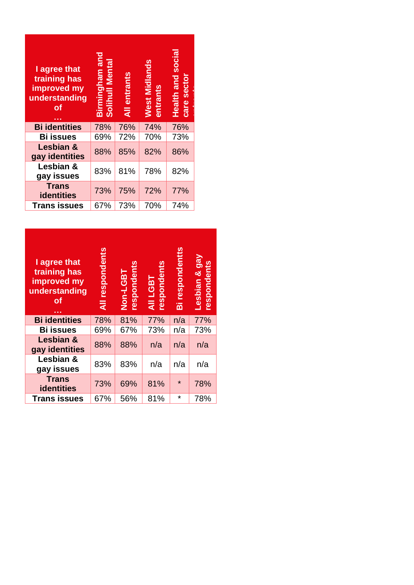| I agree that<br>training has<br>improved my<br>understanding<br>оf | Birmingham and<br><b>Solihull Mental</b> | entrants<br>$\overline{a}$ | West Midlands<br>entrants | Health and social<br>care sector |
|--------------------------------------------------------------------|------------------------------------------|----------------------------|---------------------------|----------------------------------|
| <b>Bi identities</b>                                               | 78%                                      | 76%                        | 74%                       | 76%                              |
| <b>Bi issues</b>                                                   | 69%                                      | 72%                        | 70%                       | 73%                              |
| Lesbian &<br>gay identities                                        | 88%                                      | 85%                        | 82%                       | 86%                              |
| Lesbian &<br>gay issues                                            | 83%                                      | 81%                        | 78%                       | 82%                              |
| <b>Trans</b><br><b>identities</b>                                  | 73%                                      | 75%                        | 72%                       | 77%                              |
| <b>Trans issues</b>                                                | 67%                                      | 73%                        | 70%                       | 74%                              |

| I agree that<br>training has<br>improved my<br>understanding<br>оf | respondents<br>Ę | Non-LGBT<br>respondents | respondents<br><b>AII LGBT</b> | Bi respondentts | Lesbian & gay<br>respondents |
|--------------------------------------------------------------------|------------------|-------------------------|--------------------------------|-----------------|------------------------------|
| <b>Bi identities</b>                                               | 78%              | 81%                     | 77%                            | n/a             | 77%                          |
| <b>Bi issues</b>                                                   | 69%              | 67%                     | 73%                            | n/a             | 73%                          |
| Lesbian &<br>gay identities                                        | 88%              | 88%                     | n/a                            | n/a             | n/a                          |
| Lesbian &<br>gay issues                                            | 83%              | 83%                     | n/a                            | n/a             | n/a                          |
| <b>Trans</b><br><b>identities</b>                                  | 73%              | 69%                     | 81%                            | $\star$         | 78%                          |
| <b>Trans issues</b>                                                | 67%              | 56%                     | 81%                            | $\star$         | 78%                          |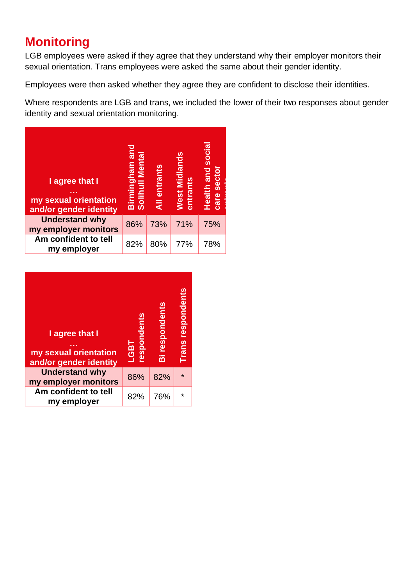# **Monitoring**

LGB employees were asked if they agree that they understand why their employer monitors their sexual orientation. Trans employees were asked the same about their gender identity.

Employees were then asked whether they agree they are confident to disclose their identities.

Where respondents are LGB and trans, we included the lower of their two responses about gender identity and sexual orientation monitoring.

| I agree that I<br>my sexual orientation<br>and/or gender identity | Birmingham and<br><b>Solihull Mental</b> | <b>All entrants</b> | <b>Nest Midlands</b><br>entrants | <b>Health and social</b><br>care sector |
|-------------------------------------------------------------------|------------------------------------------|---------------------|----------------------------------|-----------------------------------------|
| <b>Understand why</b><br>my employer monitors                     | 86%                                      | 73%                 | 71%                              | 75%                                     |
| Am confident to tell<br>my employer                               | 82%                                      | 80%                 | 77%                              | 78%                                     |

| I agree that I<br>my sexual orientation<br>and/or gender identity | respondents<br><b>LGBT</b> | Bi respondents | respondents<br><b>Trans</b> |
|-------------------------------------------------------------------|----------------------------|----------------|-----------------------------|
| <b>Understand why</b><br>my employer monitors                     | 86%                        | 82%            | $\star$                     |
| Am confident to tell<br>my employer                               | 82%                        | 76%            | $\star$                     |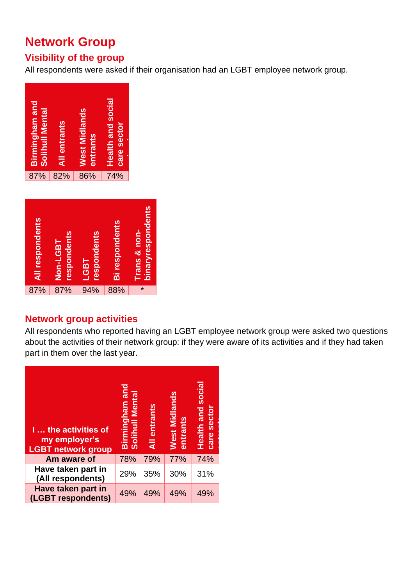# **Network Group**

### **Visibility of the group**

All respondents were asked if their organisation had an LGBT employee network group.





#### **Network group activities**

All respondents who reported having an LGBT employee network group were asked two questions about the activities of their network group: if they were aware of its activities and if they had taken part in them over the last year.

| <b>I the activities of</b><br>my employer's<br><b>LGBT network group</b> | Birmingham and<br>Solihull Mental | entrants<br>$\overline{a}$ | West Midlands<br>entrants | <b>Health and social</b><br>care sector |
|--------------------------------------------------------------------------|-----------------------------------|----------------------------|---------------------------|-----------------------------------------|
| Am aware of                                                              | 78%                               | 79%                        | 77%                       | 74%                                     |
| Have taken part in<br>(All respondents)                                  | 29%                               | 35%                        | 30%                       | 31%                                     |
| Have taken part in<br>(LGBT respondents)                                 | 49%                               | 49%                        | 49%                       | 49%                                     |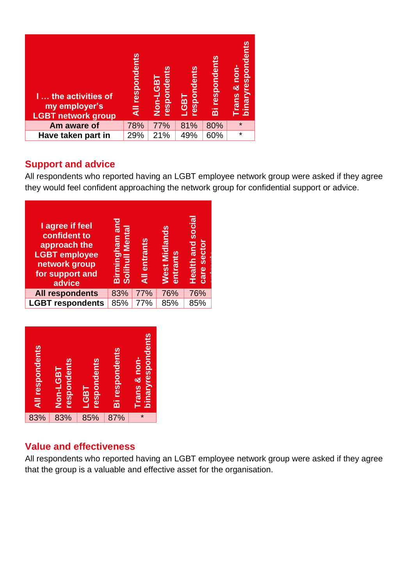| <b>I</b> the activities of<br>my employer's<br><b>LGBT network group</b> | All respondents | respondents<br>Non-LGBT | respondents<br><b>LGBT</b> | <b>Bi respondents</b> | binaryrespondents<br>& non-<br><b>Trans</b> |
|--------------------------------------------------------------------------|-----------------|-------------------------|----------------------------|-----------------------|---------------------------------------------|
| Am aware of                                                              | 78%             | 77%                     | 81%                        | 80%                   | $\star$                                     |
| Have taken part in                                                       | 29%             | 21%                     | 49%                        | 60%                   | $\star$                                     |

#### **Support and advice**

All respondents who reported having an LGBT employee network group were asked if they agree they would feel confident approaching the network group for confidential support or advice.

| I agree if feel<br>confident to<br>approach the<br><b>LGBT</b> employee<br>network group<br>for support and<br>advice | Birmingham and<br>Solihull Mental | <b>All entrants</b> | West Midlands<br>entrants | <b>Health and social</b><br>sector<br>care |
|-----------------------------------------------------------------------------------------------------------------------|-----------------------------------|---------------------|---------------------------|--------------------------------------------|
| <b>All respondents</b>                                                                                                | 83%                               | 77%                 | 76%                       | 76%                                        |
| <b>LGBT respondents</b>                                                                                               | 85%                               | 77%                 | 85%                       | 85%                                        |



#### **Value and effectiveness**

All respondents who reported having an LGBT employee network group were asked if they agree that the group is a valuable and effective asset for the organisation.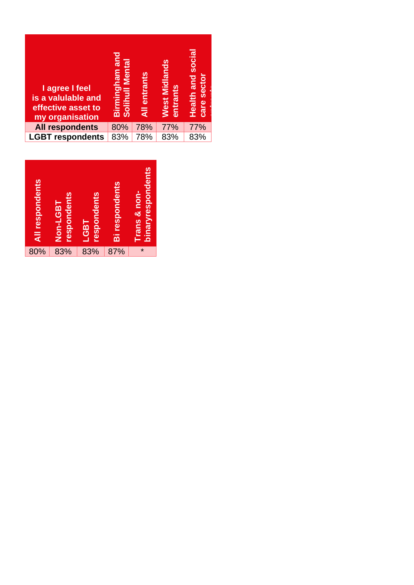| I agree I feel<br>is a valulable and<br>effective asset to<br>my organisation | pue<br><b>Solihull Mental</b><br>Birmingham | <b>All entrants</b> | West Midlands<br>entrants | <b>Health and social</b><br>sector<br>care |  |
|-------------------------------------------------------------------------------|---------------------------------------------|---------------------|---------------------------|--------------------------------------------|--|
| <b>All respondents</b>                                                        | 80%                                         | 78%                 | 77%                       | 77%                                        |  |
| <b>LGBT respondents</b>                                                       | 83%                                         | 78%                 | 83%                       | 83%                                        |  |

| All respondents | respondents<br>Non-LGBT | respondents<br><b>LGBT</b> | <b>Bi respondents</b> | binaryrespondents<br>Trans & non- |
|-----------------|-------------------------|----------------------------|-----------------------|-----------------------------------|
| 80%             | 83%                     | 83%                        | 87%                   | $\star$                           |